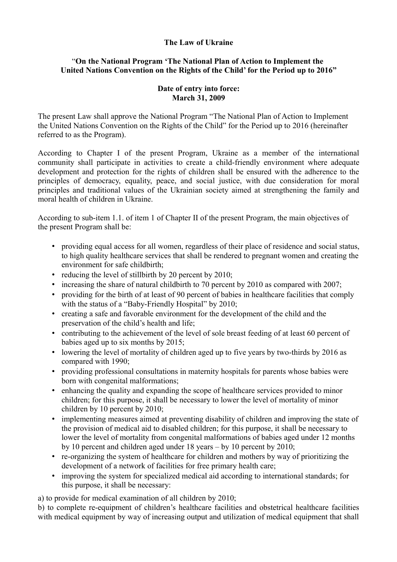## **The Law of Ukraine**

## "**On the National Program 'The National Plan of Action to Implement the United Nations Convention on the Rights of the Child' for the Period up to 2016"**

## **Date of entry into force: March 31, 2009**

The present Law shall approve the National Program "The National Plan of Action to Implement the United Nations Convention on the Rights of the Child" for the Period up to 2016 (hereinafter referred to as the Program).

According to Chapter I of the present Program, Ukraine as a member of the international community shall participate in activities to create a child-friendly environment where adequate development and protection for the rights of children shall be ensured with the adherence to the principles of democracy, equality, peace, and social justice, with due consideration for moral principles and traditional values of the Ukrainian society aimed at strengthening the family and moral health of children in Ukraine.

According to sub-item 1.1. of item 1 of Chapter II of the present Program, the main objectives of the present Program shall be:

- providing equal access for all women, regardless of their place of residence and social status, to high quality healthcare services that shall be rendered to pregnant women and creating the environment for safe childbirth;
- reducing the level of stillbirth by 20 percent by 2010;
- increasing the share of natural childbirth to 70 percent by 2010 as compared with 2007;
- providing for the birth of at least of 90 percent of babies in healthcare facilities that comply with the status of a "Baby-Friendly Hospital" by 2010;
- creating a safe and favorable environment for the development of the child and the preservation of the child's health and life;
- contributing to the achievement of the level of sole breast feeding of at least 60 percent of babies aged up to six months by 2015;
- lowering the level of mortality of children aged up to five years by two-thirds by 2016 as compared with 1990;
- providing professional consultations in maternity hospitals for parents whose babies were born with congenital malformations;
- enhancing the quality and expanding the scope of healthcare services provided to minor children; for this purpose, it shall be necessary to lower the level of mortality of minor children by 10 percent by 2010;
- implementing measures aimed at preventing disability of children and improving the state of the provision of medical aid to disabled children; for this purpose, it shall be necessary to lower the level of mortality from congenital malformations of babies aged under 12 months by 10 percent and children aged under 18 years – by 10 percent by 2010;
- re-organizing the system of healthcare for children and mothers by way of prioritizing the development of a network of facilities for free primary health care;
- improving the system for specialized medical aid according to international standards; for this purpose, it shall be necessary:

a) to provide for medical examination of all children by 2010;

b) to complete re-equipment of children's healthcare facilities and obstetrical healthcare facilities with medical equipment by way of increasing output and utilization of medical equipment that shall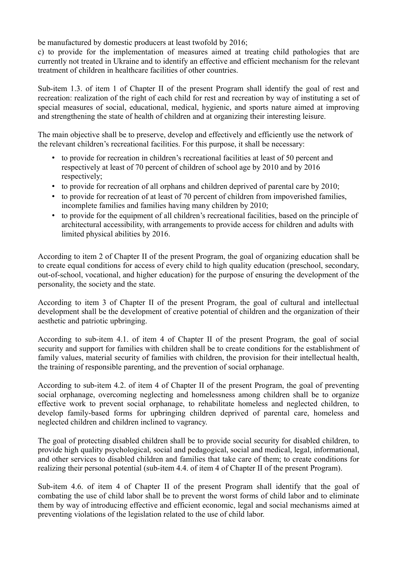be manufactured by domestic producers at least twofold by 2016;

c) to provide for the implementation of measures aimed at treating child pathologies that are currently not treated in Ukraine and to identify an effective and efficient mechanism for the relevant treatment of children in healthcare facilities of other countries.

Sub-item 1.3. of item 1 of Chapter II of the present Program shall identify the goal of rest and recreation: realization of the right of each child for rest and recreation by way of instituting a set of special measures of social, educational, medical, hygienic, and sports nature aimed at improving and strengthening the state of health of children and at organizing their interesting leisure.

The main objective shall be to preserve, develop and effectively and efficiently use the network of the relevant children's recreational facilities. For this purpose, it shall be necessary:

- to provide for recreation in children's recreational facilities at least of 50 percent and respectively at least of 70 percent of children of school age by 2010 and by 2016 respectively;
- to provide for recreation of all orphans and children deprived of parental care by 2010;
- to provide for recreation of at least of 70 percent of children from impoverished families, incomplete families and families having many children by 2010;
- to provide for the equipment of all children's recreational facilities, based on the principle of architectural accessibility, with arrangements to provide access for children and adults with limited physical abilities by 2016.

According to item 2 of Chapter II of the present Program, the goal of organizing education shall be to create equal conditions for access of every child to high quality education (preschool, secondary, out-of-school, vocational, and higher education) for the purpose of ensuring the development of the personality, the society and the state.

According to item 3 of Chapter II of the present Program, the goal of cultural and intellectual development shall be the development of creative potential of children and the organization of their aesthetic and patriotic upbringing.

According to sub-item 4.1. of item 4 of Chapter II of the present Program, the goal of social security and support for families with children shall be to create conditions for the establishment of family values, material security of families with children, the provision for their intellectual health, the training of responsible parenting, and the prevention of social orphanage.

According to sub-item 4.2. of item 4 of Chapter II of the present Program, the goal of preventing social orphanage, overcoming neglecting and homelessness among children shall be to organize effective work to prevent social orphanage, to rehabilitate homeless and neglected children, to develop family-based forms for upbringing children deprived of parental care, homeless and neglected children and children inclined to vagrancy.

The goal of protecting disabled children shall be to provide social security for disabled children, to provide high quality psychological, social and pedagogical, social and medical, legal, informational, and other services to disabled children and families that take care of them; to create conditions for realizing their personal potential (sub-item 4.4. of item 4 of Chapter II of the present Program).

Sub-item 4.6. of item 4 of Chapter II of the present Program shall identify that the goal of combating the use of child labor shall be to prevent the worst forms of child labor and to eliminate them by way of introducing effective and efficient economic, legal and social mechanisms aimed at preventing violations of the legislation related to the use of child labor.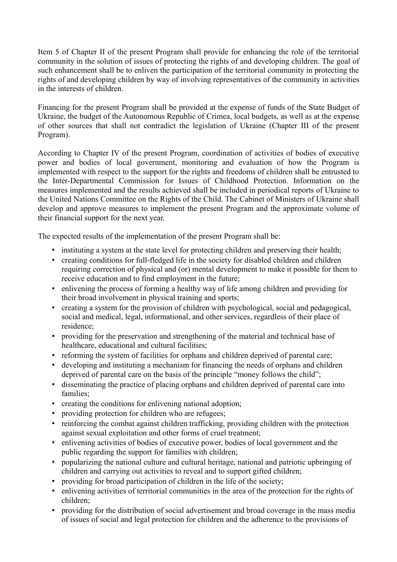Item 5 of Chapter II of the present Program shall provide for enhancing the role of the territorial community in the solution of issues of protecting the rights of and developing children. The goal of such enhancement shall be to enliven the participation of the territorial community in protecting the rights of and developing children by way of involving representatives of the community in activities in the interests of children.

Financing for the present Program shall be provided at the expense of funds of the State Budget of Ukraine, the budget of the Autonomous Republic of Crimea, local budgets, as well as at the expense of other sources that shall not contradict the legislation of Ukraine (Chapter III of the present Program).

According to Chapter IV of the present Program, coordination of activities of bodies of executive power and bodies of local government, monitoring and evaluation of how the Program is implemented with respect to the support for the rights and freedoms of children shall be entrusted to the Inter-Departmental Commission for Issues of Childhood Protection. Information on the measures implemented and the results achieved shall be included in periodical reports of Ukraine to the United Nations Committee on the Rights of the Child. The Cabinet of Ministers of Ukraine shall develop and approve measures to implement the present Program and the approximate volume of their financial support for the next year.

The expected results of the implementation of the present Program shall be:

- instituting a system at the state level for protecting children and preserving their health;
- creating conditions for full-fledged life in the society for disabled children and children requiring correction of physical and (or) mental development to make it possible for them to receive education and to find employment in the future;
- enlivening the process of forming a healthy way of life among children and providing for their broad involvement in physical training and sports;
- creating a system for the provision of children with psychological, social and pedagogical, social and medical, legal, informational, and other services, regardless of their place of residence;
- providing for the preservation and strengthening of the material and technical base of healthcare, educational and cultural facilities;
- reforming the system of facilities for orphans and children deprived of parental care;
- developing and instituting a mechanism for financing the needs of orphans and children deprived of parental care on the basis of the principle "money follows the child";
- disseminating the practice of placing orphans and children deprived of parental care into families;
- creating the conditions for enlivening national adoption;
- providing protection for children who are refugees;
- reinforcing the combat against children trafficking, providing children with the protection against sexual exploitation and other forms of cruel treatment;
- enlivening activities of bodies of executive power, bodies of local government and the public regarding the support for families with children;
- popularizing the national culture and cultural heritage, national and patriotic upbringing of children and carrying out activities to reveal and to support gifted children;
- providing for broad participation of children in the life of the society;
- enlivening activities of territorial communities in the area of the protection for the rights of children;
- providing for the distribution of social advertisement and broad coverage in the mass media of issues of social and legal protection for children and the adherence to the provisions of